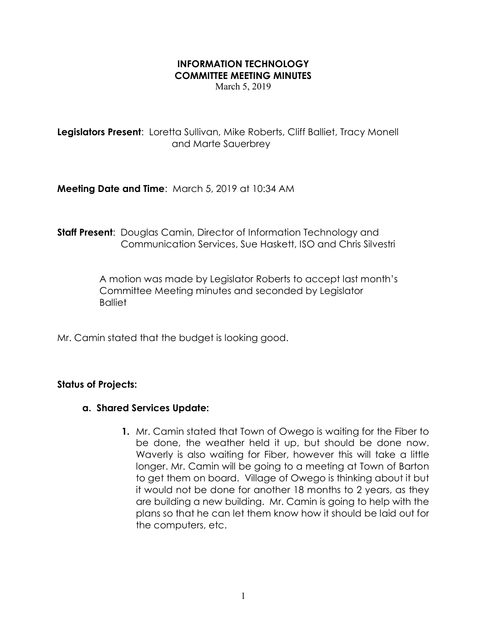## INFORMATION TECHNOLOGY COMMITTEE MEETING MINUTES

March 5, 2019

Legislators Present: Loretta Sullivan, Mike Roberts, Cliff Balliet, Tracy Monell and Marte Sauerbrey

Meeting Date and Time: March 5, 2019 at 10:34 AM

**Staff Present:** Douglas Camin, Director of Information Technology and Communication Services, Sue Haskett, ISO and Chris Silvestri

> A motion was made by Legislator Roberts to accept last month's Committee Meeting minutes and seconded by Legislator **Balliet**

Mr. Camin stated that the budget is looking good.

## Status of Projects:

## a. Shared Services Update:

1. Mr. Camin stated that Town of Owego is waiting for the Fiber to be done, the weather held it up, but should be done now. Waverly is also waiting for Fiber, however this will take a little longer. Mr. Camin will be going to a meeting at Town of Barton to get them on board. Village of Owego is thinking about it but it would not be done for another 18 months to 2 years, as they are building a new building. Mr. Camin is going to help with the plans so that he can let them know how it should be laid out for the computers, etc.